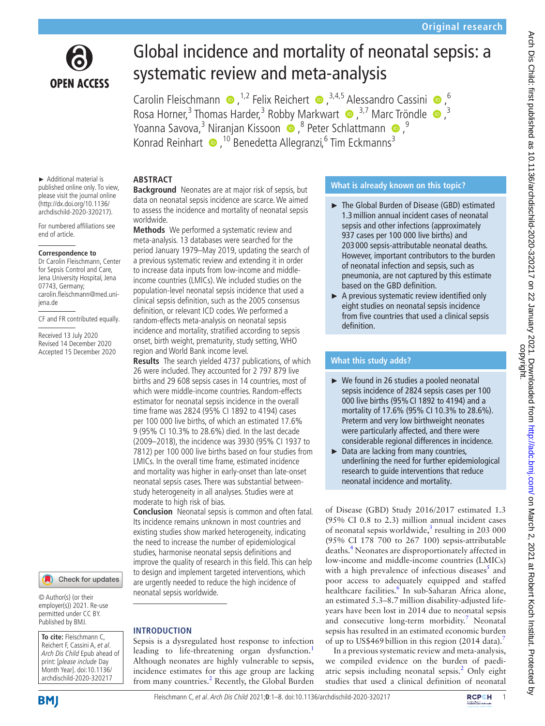

# Global incidence and mortality of neonatal sepsis: a systematic review and meta-analysis

CarolinFleischmann  $\bullet$ , <sup>1,2</sup> Felix Reichert  $\bullet$ , <sup>3,4,5</sup> Alessandro Cassini  $\bullet$ , <sup>6</sup> Rosa Horner,<sup>3</sup> Thomas Harder,<sup>3</sup> Robby Markwart <sup>1</sup>,<sup>3,7</sup> Marc Tröndle <sup>1</sup>,<sup>3</sup> Yoanna Savova,<sup>3</sup> Niranjan Kissoon (D, <sup>8</sup> Peter Schlattmann (D, 9 Konrad Reinhart <sup>10</sup>,<sup>10</sup> Benedetta Allegranzi,<sup>6</sup> Tim Eckmanns<sup>3</sup>

#### **ABSTRACT Background** Neonates are at major risk of sepsis, but

► Additional material is published online only. To view, please visit the journal online (http://dx.doi.org/10.1136/ archdischild-2020-320217).

For numbered affiliations see end of article.

#### **Correspondence to**

Dr Carolin Fleischmann, Center for Sepsis Control and Care, Jena University Hospital, Jena 07743, Germany; carolin.fleischmann@med.unijena.de

CF and FR contributed equally.

Received 13 July 2020 Revised 14 December 2020 Accepted 15 December 2020

#### Check for updates

© Author(s) (or their employer(s)) 2021. Re-use permitted under CC BY. Published by BMJ.

**To cite:** Fleischmann C, Reichert F, Cassini A, et al. Arch Dis Child Epub ahead of print: [please include Day Month Year]. doi:10.1136/ archdischild-2020-320217



#### to assess the incidence and mortality of neonatal sepsis worldwide. **Methods** We performed a systematic review and meta-analysis. 13 databases were searched for the

data on neonatal sepsis incidence are scarce. We aimed

period January 1979–May 2019, updating the search of a previous systematic review and extending it in order to increase data inputs from low-income and middleincome countries (LMICs). We included studies on the population-level neonatal sepsis incidence that used a clinical sepsis definition, such as the 2005 consensus definition, or relevant ICD codes. We performed a random-effects meta-analysis on neonatal sepsis incidence and mortality, stratified according to sepsis onset, birth weight, prematurity, study setting, WHO region and World Bank income level.

**Results** The search yielded 4737 publications, of which 26 were included. They accounted for 2 797 879 live births and 29 608 sepsis cases in 14 countries, most of which were middle-income countries. Random-effects estimator for neonatal sepsis incidence in the overall time frame was 2824 (95% CI 1892 to 4194) cases per 100 000 live births, of which an estimated 17.6% 9 (95% CI 10.3% to 28.6%) died. In the last decade (2009–2018), the incidence was 3930 (95% CI 1937 to 7812) per 100 000 live births based on four studies from LMICs. In the overall time frame, estimated incidence and mortality was higher in early-onset than late-onset neonatal sepsis cases. There was substantial betweenstudy heterogeneity in all analyses. Studies were at moderate to high risk of bias.

**Conclusion** Neonatal sepsis is common and often fatal. Its incidence remains unknown in most countries and existing studies show marked heterogeneity, indicating the need to increase the number of epidemiological studies, harmonise neonatal sepsis definitions and improve the quality of research in this field. This can help to design and implement targeted interventions, which are urgently needed to reduce the high incidence of neonatal sepsis worldwide.

## **INTRODUCTION**

Sepsis is a dysregulated host response to infection leading to life-threatening organ dysfunction.<sup>[1](#page-6-0)</sup> Although neonates are highly vulnerable to sepsis, incidence estimates for this age group are lacking from many countries.<sup>[2](#page-6-1)</sup> Recently, the Global Burden

# **What is already known on this topic?**

- ► The Global Burden of Disease (GBD) estimated 1.3million annual incident cases of neonatal sepsis and other infections (approximately 937 cases per 100 000 live births) and 203 000 sepsis-attributable neonatal deaths. However, important contributors to the burden of neonatal infection and sepsis, such as pneumonia, are not captured by this estimate based on the GBD definition.
- ► A previous systematic review identified only eight studies on neonatal sepsis incidence from five countries that used a clinical sepsis definition.

# **What this study adds?**

- ► We found in 26 studies a pooled neonatal sepsis incidence of 2824 sepsis cases per 100 000 live births (95%CI 1892 to 4194) and a mortality of 17.6% (95% CI 10.3% to 28.6%). Preterm and very low birthweight neonates were particularly affected, and there were considerable regional differences in incidence.
- ► Data are lacking from many countries, underlining the need for further epidemiological research to guide interventions that reduce neonatal incidence and mortality.

of Disease (GBD) Study 2016/2017 estimated 1.3 (95% CI 0.8 to 2.3) million annual incident cases of neonatal sepsis worldwide, $3$  resulting in 203 000 (95% CI 178 700 to 267 100) sepsis-attributable deaths.[4](#page-6-3) Neonates are disproportionately affected in low-income and middle-income countries (LMICs) with a high prevalence of infectious diseases $5$  and poor access to adequately equipped and staffed healthcare facilities.<sup>6</sup> In sub-Saharan Africa alone, an estimated 5.3–8.7million disability-adjusted lifeyears have been lost in 2014 due to neonatal sepsis and consecutive long-term morbidity.<sup>[7](#page-6-6)</sup> Neonatal sepsis has resulted in an estimated economic burden of up to US\$469 billion in this region  $(2014 \text{ data})$ .

In a previous systematic review and meta-analysis, we compiled evidence on the burden of paedi-atric sepsis including neonatal sepsis.<sup>[2](#page-6-1)</sup> Only eight studies that used a clinical definition of neonatal

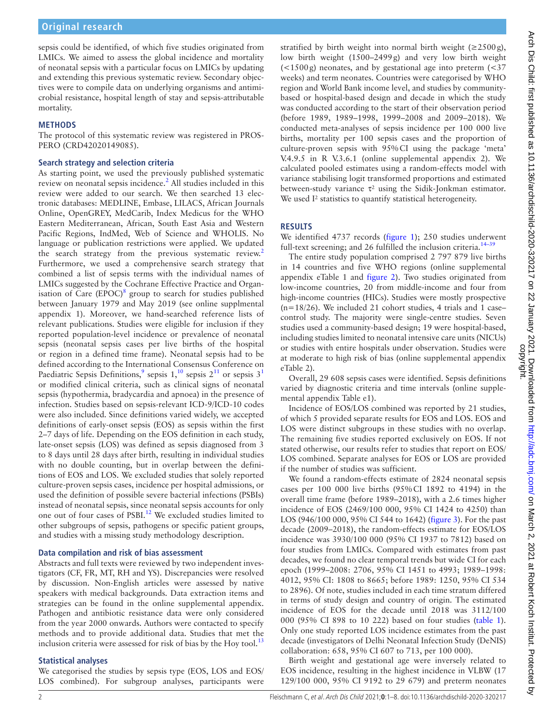sepsis could be identified, of which five studies originated from LMICs. We aimed to assess the global incidence and mortality of neonatal sepsis with a particular focus on LMICs by updating and extending this previous systematic review. Secondary objectives were to compile data on underlying organisms and antimicrobial resistance, hospital length of stay and sepsis-attributable mortality.

# **METHODS**

The protocol of this systematic review was registered in PROS-PERO (CRD42020149085).

## **Search strategy and selection criteria**

As starting point, we used the previously published systematic review on neonatal sepsis incidence.<sup>[2](#page-6-1)</sup> All studies included in this review were added to our search. We then searched 13 electronic databases: MEDLINE, Embase, LILACS, African Journals Online, OpenGREY, MedCarib, Index Medicus for the WHO Eastern Mediterranean, African, South East Asia and Western Pacific Regions, IndMed, Web of Science and WHOLIS. No language or publication restrictions were applied. We updated the search strategy from the previous systematic review.<sup>[2](#page-6-1)</sup> Furthermore, we used a comprehensive search strategy that combined a list of sepsis terms with the individual names of LMICs suggested by the Cochrane Effective Practice and Organ-isation of Care (EPOC)<sup>[8](#page-6-7)</sup> group to search for studies published between January 1979 and May 2019 (see [online supplmental](https://dx.doi.org/10.1136/archdischild-2020-320217)  [appendix 1\)](https://dx.doi.org/10.1136/archdischild-2020-320217). Moreover, we hand-searched reference lists of relevant publications. Studies were eligible for inclusion if they reported population-level incidence or prevalence of neonatal sepsis (neonatal sepsis cases per live births of the hospital or region in a defined time frame). Neonatal sepsis had to be defined according to the International Consensus Conference on Paediatric Sepsis Definitions,<sup>[9](#page-6-8)</sup> sepsis  $1,^{10}$  $1,^{10}$  $1,^{10}$  sepsis  $2^{11}$  $2^{11}$  $2^{11}$  or sepsis  $3^1$ or modified clinical criteria, such as clinical signs of neonatal sepsis (hypothermia, bradycardia and apnoea) in the presence of infection. Studies based on sepsis-relevant ICD-9/ICD-10 codes were also included. Since definitions varied widely, we accepted definitions of early-onset sepsis (EOS) as sepsis within the first 2–7 days of life. Depending on the EOS definition in each study, late-onset sepsis (LOS) was defined as sepsis diagnosed from 3 to 8 days until 28 days after birth, resulting in individual studies with no double counting, but in overlap between the definitions of EOS and LOS. We excluded studies that solely reported culture-proven sepsis cases, incidence per hospital admissions, or used the definition of possible severe bacterial infections (PSBIs) instead of neonatal sepsis, since neonatal sepsis accounts for only one out of four cases of PSBI[.12](#page-6-11) We excluded studies limited to other subgroups of sepsis, pathogens or specific patient groups, and studies with a missing study methodology description.

## **Data compilation and risk of bias assessment**

Abstracts and full texts were reviewed by two independent investigators (CF, FR, MT, RH and YS). Discrepancies were resolved by discussion. Non-English articles were assessed by native speakers with medical backgrounds. Data extraction items and strategies can be found in the [online supplemental appendix](https://dx.doi.org/10.1136/archdischild-2020-320217). Pathogen and antibiotic resistance data were only considered from the year 2000 onwards. Authors were contacted to specify methods and to provide additional data. Studies that met the inclusion criteria were assessed for risk of bias by the Hoy tool. $^{13}$  $^{13}$  $^{13}$ 

# **Statistical analyses**

We categorised the studies by sepsis type (EOS, LOS and EOS/ LOS combined). For subgroup analyses, participants were

stratified by birth weight into normal birth weight  $(\geq 2500 \text{ g})$ , low birth weight (1500–2499g) and very low birth weight  $\left($  <1500g) neonates, and by gestational age into preterm  $\left($  <37 weeks) and term neonates. Countries were categorised by WHO region and World Bank income level, and studies by communitybased or hospital-based design and decade in which the study was conducted according to the start of their observation period (before 1989, 1989–1998, 1999–2008 and 2009–2018). We conducted meta-analyses of sepsis incidence per 100 000 live births, mortality per 100 sepsis cases and the proportion of culture-proven sepsis with 95%CI using the package 'meta' V.4.9.5 in R V.3.6.1 [\(online supplemental appendix 2](https://dx.doi.org/10.1136/archdischild-2020-320217)). We calculated pooled estimates using a random-effects model with variance stabilising logit transformed proportions and estimated between-study variance  $\tau^2$  using the Sidik-Jonkman estimator. We used I<sup>2</sup> statistics to quantify statistical heterogeneity.

# **RESULTS**

We identified 4737 records [\(figure](#page-2-0) 1); 250 studies underwent full-text screening; and 26 fulfilled the inclusion criteria. $14-39$ 

The entire study population comprised 2 797 879 live births in 14 countries and five WHO regions ([online supplemental](https://dx.doi.org/10.1136/archdischild-2020-320217) [appendix eTable 1](https://dx.doi.org/10.1136/archdischild-2020-320217) and [figure](#page-2-1) 2). Two studies originated from low-income countries, 20 from middle-income and four from high-income countries (HICs). Studies were mostly prospective  $(n=18/26)$ . We included 21 cohort studies, 4 trials and 1 case– control study. The majority were single-centre studies. Seven studies used a community-based design; 19 were hospital-based, including studies limited to neonatal intensive care units (NICUs) or studies with entire hospitals under observation. Studies were at moderate to high risk of bias [\(online supplemental appendix](https://dx.doi.org/10.1136/archdischild-2020-320217) [eTable 2\)](https://dx.doi.org/10.1136/archdischild-2020-320217).

Overall, 29 608 sepsis cases were identified. Sepsis definitions varied by diagnostic criteria and time intervals ([online supple](https://dx.doi.org/10.1136/archdischild-2020-320217)[mental appendix Table e1\)](https://dx.doi.org/10.1136/archdischild-2020-320217).

Incidence of EOS/LOS combined was reported by 21 studies, of which 5 provided separate results for EOS and LOS. EOS and LOS were distinct subgroups in these studies with no overlap. The remaining five studies reported exclusively on EOS. If not stated otherwise, our results refer to studies that report on EOS/ LOS combined. Separate analyses for EOS or LOS are provided if the number of studies was sufficient.

We found a random-effects estimate of 2824 neonatal sepsis cases per 100 000 live births (95%CI 1892 to 4194) in the overall time frame (before 1989–2018), with a 2.6 times higher incidence of EOS (2469/100 000, 95% CI 1424 to 4250) than LOS (946/100 000, 95% CI 544 to 1642) ([figure](#page-3-0) 3). For the past decade (2009–2018), the random-effects estimate for EOS/LOS incidence was 3930/100 000 (95% CI 1937 to 7812) based on four studies from LMICs. Compared with estimates from past decades, we found no clear temporal trends but wide CI for each epoch (1999–2008: 2706, 95% CI 1451 to 4993; 1989–1998: 4012, 95% CI: 1808 to 8665; before 1989: 1250, 95% CI 534 to 2896). Of note, studies included in each time stratum differed in terms of study design and country of origin. The estimated incidence of EOS for the decade until 2018 was 3112/100 000 (95% CI 898 to 10 222) based on four studies ([table](#page-4-0) 1). Only one study reported LOS incidence estimates from the past decade (investigators of Delhi Neonatal Infection Study (DeNIS) collaboration: 658, 95% CI 607 to 713, per 100 000).

Birth weight and gestational age were inversely related to EOS incidence, resulting in the highest incidence in VLBW (17 129/100 000, 95% CI 9192 to 29 679) and preterm neonates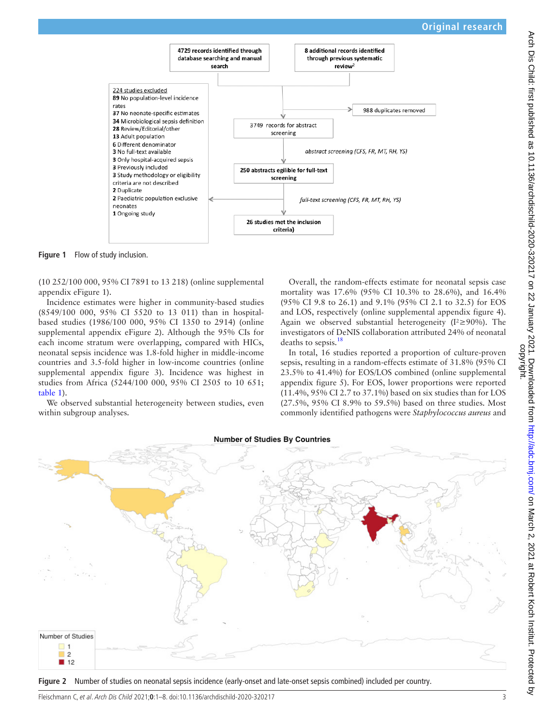

**Figure 1** Flow of study inclusion.

(10 252/100 000, 95% CI 7891 to 13 218) [\(online supplemental](https://dx.doi.org/10.1136/archdischild-2020-320217)  [appendix eFigure 1\)](https://dx.doi.org/10.1136/archdischild-2020-320217).

Incidence estimates were higher in community-based studies (8549/100 000, 95% CI 5520 to 13 011) than in hospitalbased studies (1986/100 000, 95% CI 1350 to 2914) [\(online](https://dx.doi.org/10.1136/archdischild-2020-320217)  [supplemental appendix eFigure 2\)](https://dx.doi.org/10.1136/archdischild-2020-320217). Although the 95% CIs for each income stratum were overlapping, compared with HICs, neonatal sepsis incidence was 1.8-fold higher in middle-income countries and 3.5-fold higher in low-income countries [\(online](https://dx.doi.org/10.1136/archdischild-2020-320217)  [supplemental appendix figure 3\)](https://dx.doi.org/10.1136/archdischild-2020-320217). Incidence was highest in studies from Africa (5244/100 000, 95% CI 2505 to 10 651; [table](#page-4-0) 1).

We observed substantial heterogeneity between studies, even within subgroup analyses.

<span id="page-2-0"></span>Overall, the random-effects estimate for neonatal sepsis case mortality was 17.6% (95% CI 10.3% to 28.6%), and 16.4% (95% CI 9.8 to 26.1) and 9.1% (95% CI 2.1 to 32.5) for EOS and LOS, respectively [\(online supplemental appendix figure 4\)](https://dx.doi.org/10.1136/archdischild-2020-320217). Again we observed substantial heterogeneity (I²≥90%). The investigators of DeNIS collaboration attributed 24% of neonatal deaths to sepsis.<sup>[18](#page-6-14)</sup>

In total, 16 studies reported a proportion of culture-proven sepsis, resulting in a random-effects estimate of 31.8% (95% CI 23.5% to 41.4%) for EOS/LOS combined [\(online supplemental](https://dx.doi.org/10.1136/archdischild-2020-320217) [appendix figure 5](https://dx.doi.org/10.1136/archdischild-2020-320217)). For EOS, lower proportions were reported (11.4%, 95% CI 2.7 to 37.1%) based on six studies than for LOS (27.5%, 95% CI 8.9% to 59.5%) based on three studies. Most commonly identified pathogens were *Staphylococcus aureus* and



<span id="page-2-1"></span>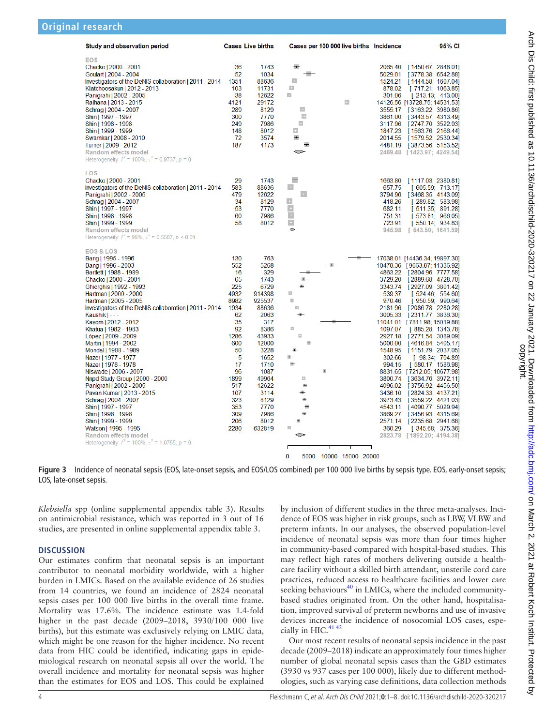| <b>Study and observation period</b>                                                                                                                                                                                                                                                                                                                                                                                                                                                                                                                                                                                                                                                                                                                                                 |                                                                                                                                                                         | <b>Cases Live births</b>                                                                                                                                                                                     | Cases per 100 000 live births Incidence                                                                                                                          |                                                                                                                                                                                                          | 95% CI                                                                                                                                                                                                                                                                                                                                                                                                                                                                                                                                                                                                                                          |
|-------------------------------------------------------------------------------------------------------------------------------------------------------------------------------------------------------------------------------------------------------------------------------------------------------------------------------------------------------------------------------------------------------------------------------------------------------------------------------------------------------------------------------------------------------------------------------------------------------------------------------------------------------------------------------------------------------------------------------------------------------------------------------------|-------------------------------------------------------------------------------------------------------------------------------------------------------------------------|--------------------------------------------------------------------------------------------------------------------------------------------------------------------------------------------------------------|------------------------------------------------------------------------------------------------------------------------------------------------------------------|----------------------------------------------------------------------------------------------------------------------------------------------------------------------------------------------------------|-------------------------------------------------------------------------------------------------------------------------------------------------------------------------------------------------------------------------------------------------------------------------------------------------------------------------------------------------------------------------------------------------------------------------------------------------------------------------------------------------------------------------------------------------------------------------------------------------------------------------------------------------|
| <b>EOS</b><br>Chacko   2000 - 2001<br>Goulart   2004 - 2004<br>Investigators of the DeNIS collaboration   2011 - 2014<br>Kiatchoosakun   2012 - 2013<br>Panigrahi   2002 - 2005<br>Raihana   2013 - 2015<br>Schrag   2004 - 2007<br>Shin   1997 - 1997<br>Shin   1998 - 1998<br>Shin   1999 - 1999<br>Swarnkar   2008 - 2010<br>Turner   2009 - 2012<br>Random effects model<br>Heterogeneity: $I^2 = 100\%$ , $\tau^2 = 0.9737$ , $p = 0$                                                                                                                                                                                                                                                                                                                                          | 36<br>52<br>1351<br>103<br>38<br>4121<br>289<br>300<br>249<br>148<br>72<br>187                                                                                          | 1743<br>1034<br>88636<br>11731<br>12622<br>29172<br>8129<br>7770<br>7986<br>8012<br>3574<br>4173                                                                                                             | $\overline{1}$<br>$\bullet$<br>$\pm$<br>$\ddot{\phantom{0}}$<br>$\mathcal{L}_\mathrm{c}$<br>E.<br>$\pm$<br>$\overline{\mathbb{Z}}$<br>$\pm$<br>$\leftarrow$<br>⇔ | 2065.40<br>5029.01<br>1524.21<br>878.02<br>301.06<br>3555.17<br>3861.00<br>3117.96<br>1847.23<br>2014.55<br>2469.48                                                                                      | [1450.67; 2848.01]<br>[3778.38: 6542.88]<br>[1444.58; 1607.04]<br>[717.21; 1063.85]<br>[213.13; 413.00]<br>14126.56 [13728.75; 14531.53]<br>[3163.22; 3980.86]<br>[3443.57; 4313.49]<br>[2747.70; 3522.93]<br>[1563.76; 2166.44]<br>[1579.52; 2530.34]<br>4481.19 [3873.56; 5153.52]<br>[1423.97; 4249.54]                                                                                                                                                                                                                                                                                                                                      |
| LOS<br>Chacko   2000 - 2001<br>Investigators of the DeNIS collaboration   2011 - 2014<br>Panigrahi   2002 - 2005<br>Schrag   2004 - 2007<br>Shin   1997 - 1997<br>Shin   1998 - 1998<br>Shin   1999 - 1999<br>Random effects model<br>Heterogeneity: $I^2 = 99\%$ , $\tau^2 = 0.5507$ , $p \le 0.01$                                                                                                                                                                                                                                                                                                                                                                                                                                                                                | 29<br>583<br>479<br>34<br>53<br>60<br>58                                                                                                                                | 1743<br>88636<br>12622<br>8129<br>7770<br>7986<br>8012                                                                                                                                                       | $+$<br>$\vert \cdot \vert$<br>$\pm$<br>$\pm$<br>$\pm$<br>$\pm$<br>$\pm$<br>$\Diamond$                                                                            | 1663.80<br>657.75<br>3794.96<br>418.26<br>682.11<br>751.31<br>723.91<br>945.98                                                                                                                           | [1117.03; 2380.81]<br>[605.59; 713.17]<br>[3468.35; 4143.09]<br>[289.82; 583.98]<br>[511.35; 891.28]<br>[573.81; 966.05]<br>[550.14; 934.83]<br>[543.50; 1641.59]                                                                                                                                                                                                                                                                                                                                                                                                                                                                               |
| <b>EOS &amp; LOS</b><br>Bang   1995 - 1996<br>Bang   1996 - 2003<br>Bartlett   1988 - 1989<br>Chacko   2000 - 2001<br>Ghiorahis   1992 - 1993<br>Hartman   2000 - 2000<br>Hartman   2005 - 2005<br>Investigators of the DeNIS collaboration   2011 - 2014<br>Kaushik $\vert - \vert$<br>Kayom   2012 - 2012<br>Khatua   1982 - 1983<br>López   2009 - 2009<br>Martin   1994 - 2002<br>Mondal   1988 - 1989<br>Nazer   1977 - 1977<br>Nazer   1978 - 1978<br>Niswade   2006 - 2007<br>Nnpd Study Group   2000 - 2000<br>Panigrahi   2002 - 2005<br>Pavan Kumar   2013 - 2015<br>Schrag   2004 - 2007<br>Shin   1997 - 1997<br>Shin   1998 - 1998<br>Shin   1999 - 1999<br>Watson   1995 - 1995<br>Random effects model<br>Heterogeneity: $I^2 = 100\%$ , $\tau^2 = 1.0755$ , $p = 0$ | 130<br>552<br>16<br>65<br>225<br>4932<br>8982<br>1934<br>62<br>35<br>92<br>1286<br>600<br>50<br>5<br>17<br>96<br>1899<br>517<br>107<br>323<br>353<br>309<br>206<br>2280 | 763<br>5268<br>329<br>1743<br>6729<br>914398<br>925537<br>88636<br>2063<br>317<br>8386<br>43933<br>12000<br>3228<br>1652<br>1710<br>1087<br>49964<br>12622<br>3114<br>8129<br>7770<br>7986<br>8012<br>632819 | 罼<br>ш<br>$\Box$<br><b>KI</b><br>田<br>$\Box$<br>手<br>÷<br>품<br>G<br>÷<br>5000 10000 15000 20000                                                                  | 3729.20<br>3343.74<br>539.37<br>970.46<br>2181.96<br>1097.07<br>2927.18<br>5000.00<br>1548.95<br>302.66<br>994.15<br>3800.74<br>4096.02<br>3436.10<br>3973.43<br>4543.11<br>3869.27<br>2571.14<br>360.29 | 17038.01 [14436.34; 19897.30]<br>10478.36 [9663.87; 11336.92]<br>4863.22 [2804.96; 7777.58]<br>[2889.68; 4728.70]<br>[2927.09: 3801.42]<br>[524.46; 554.60]<br>[950.59; 990.64]<br>[2086.78; 2280.28]<br>3005.33 [2311.77; 3836.30]<br>11041.01 [7811.98; 15019.88]<br>[ 885.28; 1343.78]<br>[2771.54; 3089.09]<br>[4616.84; 5405.17]<br>[1151.79; 2037.05]<br>[98.34; 704.89]<br>[580.17; 1586.98]<br>8831.65 [7212.05; 10677.98]<br>[ 3634.76; 3972.11]<br>[3756.92, 4456.50]<br>[2824.33; 4137.21]<br>[3559.22, 4421.03]<br>[4090.77; 5029.94]<br>[3456.93; 4315.69]<br>[2235.68; 2941.68]<br>[345.68; 375.36]<br>2823.78 [1892.20; 4194.38] |

<span id="page-3-0"></span>**Figure 3** Incidence of neonatal sepsis (EOS, late-onset sepsis, and EOS/LOS combined) per 100 000 live births by sepsis type. EOS, early-onset sepsis; LOS, late-onset sepsis.

*Klebsiella* spp [\(online supplemental appendix table 3](https://dx.doi.org/10.1136/archdischild-2020-320217)). Results on antimicrobial resistance, which was reported in 3 out of 16 studies, are presented in [online supplemental appendix table 3](https://dx.doi.org/10.1136/archdischild-2020-320217).

## **DISCUSSION**

Our estimates confirm that neonatal sepsis is an important contributor to neonatal morbidity worldwide, with a higher burden in LMICs. Based on the available evidence of 26 studies from 14 countries, we found an incidence of 2824 neonatal sepsis cases per 100 000 live births in the overall time frame. Mortality was 17.6%. The incidence estimate was 1.4-fold higher in the past decade (2009–2018, 3930/100 000 live births), but this estimate was exclusively relying on LMIC data, which might be one reason for the higher incidence. No recent data from HIC could be identified, indicating gaps in epidemiological research on neonatal sepsis all over the world. The overall incidence and mortality for neonatal sepsis was higher than the estimates for EOS and LOS. This could be explained

by inclusion of different studies in the three meta-analyses. Incidence of EOS was higher in risk groups, such as LBW, VLBW and preterm infants. In our analyses, the observed population-level incidence of neonatal sepsis was more than four times higher in community-based compared with hospital-based studies. This may reflect high rates of mothers delivering outside a healthcare facility without a skilled birth attendant, unsterile cord care practices, reduced access to healthcare facilities and lower care seeking behaviours $40$  in LMICs, where the included communitybased studies originated from. On the other hand, hospitalisation, improved survival of preterm newborns and use of invasive devices increase the incidence of nosocomial LOS cases, espe-cially in HIC.<sup>[41 42](#page-7-1)</sup>

Our most recent results of neonatal sepsis incidence in the past decade (2009–2018) indicate an approximately four times higher number of global neonatal sepsis cases than the GBD estimates (3930 vs 937 cases per 100 000), likely due to different methodologies, such as varying case definitions, data collection methods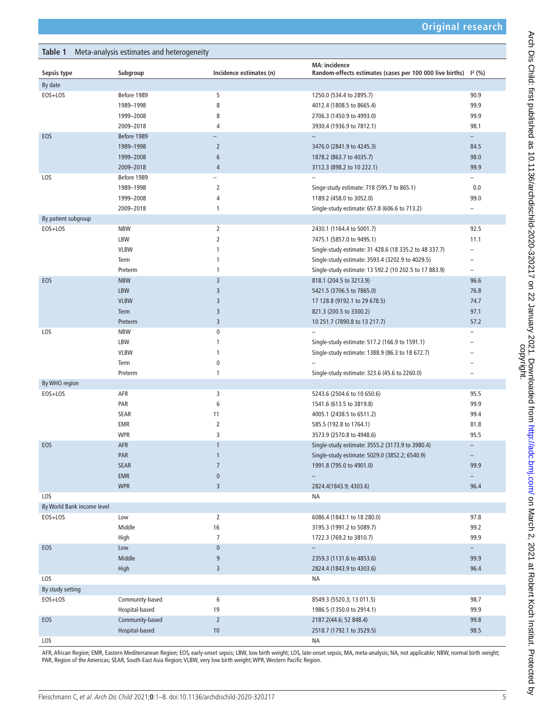<span id="page-4-0"></span>

| Meta-analysis estimates and heterogeneity<br>Table 1 |                 |                         |                                                                                                     |                          |  |  |  |  |
|------------------------------------------------------|-----------------|-------------------------|-----------------------------------------------------------------------------------------------------|--------------------------|--|--|--|--|
| Sepsis type                                          | Subgroup        | Incidence estimates (n) | <b>MA: incidence</b><br>Random-effects estimates (cases per 100 000 live births) 1 <sup>2</sup> (%) |                          |  |  |  |  |
| By date                                              |                 |                         |                                                                                                     |                          |  |  |  |  |
| EOS+LOS                                              | Before 1989     | 5                       | 1250.0 (534.4 to 2895.7)                                                                            | 90.9                     |  |  |  |  |
|                                                      | 1989-1998       | 8                       | 4012.4 (1808.5 to 8665.4)                                                                           | 99.9                     |  |  |  |  |
|                                                      | 1999-2008       | 8                       | 2706.3 (1450.9 to 4993.0)                                                                           | 99.9                     |  |  |  |  |
|                                                      | 2009-2018       | 4                       | 3930.4 (1936.9 to 7812.1)                                                                           | 98.1                     |  |  |  |  |
| EOS                                                  | Before 1989     |                         |                                                                                                     | $-$                      |  |  |  |  |
|                                                      | 1989-1998       | $\overline{2}$          | 3476.0 (2841.9 to 4245.3)                                                                           | 84.5                     |  |  |  |  |
|                                                      | 1999-2008       | 6                       | 1878.2 (863.7 to 4035.7)                                                                            | 98.0                     |  |  |  |  |
|                                                      | 2009-2018       | $\overline{4}$          | 3112.3 (898.2 to 10 222.1)                                                                          | 99.9                     |  |  |  |  |
| LOS                                                  | Before 1989     | ÷,                      |                                                                                                     | $\overline{\phantom{0}}$ |  |  |  |  |
|                                                      | 1989-1998       | $\overline{2}$          | Singe-study estimate: 718 (595.7 to 865.1)                                                          | 0.0                      |  |  |  |  |
|                                                      | 1999-2008       | 4                       | 1189.2 (458.0 to 3052.0)                                                                            | 99.0                     |  |  |  |  |
|                                                      | 2009-2018       | 1                       | Single-study estimate: 657.8 (606.6 to 713.2)                                                       | $\overline{\phantom{0}}$ |  |  |  |  |
| By patient subgroup                                  |                 |                         |                                                                                                     |                          |  |  |  |  |
| EOS+LOS                                              | <b>NBW</b>      | $\overline{2}$          | 2430.1 (1164.4 to 5001.7)                                                                           | 92.5                     |  |  |  |  |
|                                                      | LBW             | $\overline{2}$          | 7475.1 (5857.0 to 9495.1)                                                                           | 11.1                     |  |  |  |  |
|                                                      | <b>VLBW</b>     | 1                       | Single-study estimate: 31 428.6 (18 335.2 to 48 337.7)                                              | $\overline{\phantom{0}}$ |  |  |  |  |
|                                                      | Term            | 1                       | Single-study estimate: 3593.4 (3202.9 to 4029.5)                                                    |                          |  |  |  |  |
|                                                      | Preterm         | 1                       | Single-study estimate: 13 592.2 (10 202.5 to 17 883.9)                                              |                          |  |  |  |  |
| EOS                                                  | <b>NBW</b>      | $\overline{3}$          | 818.1 (204.5 to 3213.9)                                                                             | 96.6                     |  |  |  |  |
|                                                      | <b>LBW</b>      | 3                       | 5421.5 (3706.5 to 7865.0)                                                                           | 76.8                     |  |  |  |  |
|                                                      | <b>VLBW</b>     | 3                       | 17 128.8 (9192.1 to 29 678.5)                                                                       | 74.7                     |  |  |  |  |
|                                                      | Term            | 3                       | 821.3 (200.5 to 3300.2)                                                                             | 97.1                     |  |  |  |  |
|                                                      | Preterm         | $\overline{3}$          | 10 251.7 (7890.8 to 13 217.7)                                                                       | 57.2                     |  |  |  |  |
| LOS                                                  | <b>NBW</b>      | 0                       |                                                                                                     |                          |  |  |  |  |
|                                                      | LBW             | 1                       | Single-study estimate: 517.2 (166.9 to 1591.1)                                                      |                          |  |  |  |  |
|                                                      | <b>VLBW</b>     | 1                       | Single-study estimate: 1388.9 (86.3 to 18 672.7)                                                    |                          |  |  |  |  |
|                                                      | Term            | 0                       |                                                                                                     |                          |  |  |  |  |
|                                                      | Preterm         | 1                       | Single-study estimate: 323.6 (45.6 to 2260.0)                                                       | $\overline{\phantom{0}}$ |  |  |  |  |
| By WHO region                                        |                 |                         |                                                                                                     |                          |  |  |  |  |
| EOS+LOS                                              | AFR             | 3                       | 5243.6 (2504.6 to 10 650.6)                                                                         | 95.5                     |  |  |  |  |
|                                                      | PAR             | 6                       | 1541.6 (613.5 to 3819.8)                                                                            | 99.9                     |  |  |  |  |
|                                                      | SEAR            | 11                      | 4005.1 (2438.5 to 6511.2)                                                                           | 99.4                     |  |  |  |  |
|                                                      | EMR             | 2                       | 585.5 (192.8 to 1764.1)                                                                             | 81.8                     |  |  |  |  |
|                                                      | <b>WPR</b>      | 3                       | 3573.9 (2570.8 to 4948.6)                                                                           | 95.5                     |  |  |  |  |
| EOS                                                  | <b>AFR</b>      | $\mathbf{1}$            | Single-study estimate: 3555.2 (3173.9 to 3980.4)                                                    |                          |  |  |  |  |
|                                                      | PAR             |                         | Single-study estimate: 5029.0 (3852.2; 6540.9)                                                      |                          |  |  |  |  |
|                                                      | <b>SEAR</b>     | $\overline{7}$          | 1991.8 (795.0 to 4901.0)                                                                            | 99.9                     |  |  |  |  |
|                                                      | EMR             | $\pmb{0}$               |                                                                                                     |                          |  |  |  |  |
|                                                      | <b>WPR</b>      | $\overline{3}$          | 2824.4(1843.9; 4303.6)                                                                              | 96.4                     |  |  |  |  |
| LOS                                                  |                 |                         | NА                                                                                                  |                          |  |  |  |  |
| By World Bank income level                           |                 |                         |                                                                                                     |                          |  |  |  |  |
| EOS+LOS                                              | Low             | $\overline{2}$          | 6086.4 (1843.1 to 18 280.0)                                                                         | 97.8                     |  |  |  |  |
|                                                      | Middle          | $16\,$                  | 3195.3 (1991.2 to 5089.7)                                                                           | 99.2                     |  |  |  |  |
|                                                      | High            | $\overline{7}$          | 1722.3 (769.2 to 3810.7)                                                                            | 99.9                     |  |  |  |  |
| EOS                                                  | Low             | $\pmb{0}$               | $\overline{\phantom{0}}$                                                                            | $\overline{\phantom{0}}$ |  |  |  |  |
|                                                      | Middle          | 9                       | 2359.3 (1131.6 to 4853.6)                                                                           | 99.9                     |  |  |  |  |
|                                                      | High            | 3                       |                                                                                                     | 96.4                     |  |  |  |  |
| LOS                                                  |                 |                         | 2824.4 (1843.9 to 4303.6)                                                                           |                          |  |  |  |  |
|                                                      |                 |                         | ΝA                                                                                                  |                          |  |  |  |  |
| By study setting                                     |                 |                         |                                                                                                     |                          |  |  |  |  |
| EOS+LOS                                              | Community-based | 6                       | 8549.3 (5520.3; 13 011.5)                                                                           | 98.7                     |  |  |  |  |
|                                                      | Hospital-based  | 19                      | 1986.5 (1350.0 to 2914.1)                                                                           | 99.9                     |  |  |  |  |
| EOS                                                  | Community-based | $\overline{2}$          | 2187.2(44.6; 52 848.4)                                                                              | 99.8                     |  |  |  |  |
|                                                      | Hospital-based  | 10                      | 2518.7 (1792.1 to 3529.5)                                                                           | 98.5                     |  |  |  |  |
| LOS                                                  |                 |                         | NA                                                                                                  |                          |  |  |  |  |

AFR, African Region; EMR, Eastern Mediterranean Region; EOS, early-onset sepsis; LBW, low birth weight; LOS, late-onset sepsis; MA, meta-analysis; NA, not applicable; NBW, normal birth weight; PAR, Region of the Americas; SEAR, South-East Asia Region; VLBW, very low birth weight; WPR, Western Pacific Region.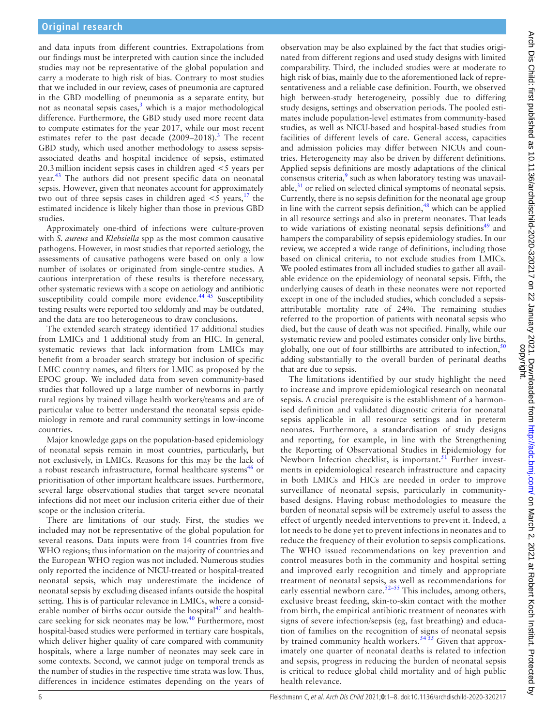and data inputs from different countries. Extrapolations from our findings must be interpreted with caution since the included studies may not be representative of the global population and carry a moderate to high risk of bias. Contrary to most studies that we included in our review, cases of pneumonia are captured in the GBD modelling of pneumonia as a separate entity, but not as neonatal sepsis cases, $3$  which is a major methodological difference. Furthermore, the GBD study used more recent data to compute estimates for the year 2017, while our most recent estimates refer to the past decade  $(2009-2018).$ <sup>[3](#page-6-2)</sup> The recent GBD study, which used another methodology to assess sepsisassociated deaths and hospital incidence of sepsis, estimated 20.3million incident sepsis cases in children aged <5 years per year.<sup>43</sup> The authors did not present specific data on neonatal sepsis. However, given that neonates account for approximately two out of three sepsis cases in children aged  $\lt$  5 years, <sup>17</sup> the estimated incidence is likely higher than those in previous GBD studies.

Approximately one-third of infections were culture-proven with *S. aureus* and *Klebsiella* spp as the most common causative pathogens. However, in most studies that reported aetiology, the assessments of causative pathogens were based on only a low number of isolates or originated from single-centre studies. A cautious interpretation of these results is therefore necessary, other systematic reviews with a scope on aetiology and antibiotic susceptibility could compile more evidence.<sup>[44 45](#page-7-3)</sup> Susceptibility testing results were reported too seldomly and may be outdated, and the data are too heterogeneous to draw conclusions.

The extended search strategy identified 17 additional studies from LMICs and 1 additional study from an HIC. In general, systematic reviews that lack information from LMICs may benefit from a broader search strategy but inclusion of specific LMIC country names, and filters for LMIC as proposed by the EPOC group. We included data from seven community-based studies that followed up a large number of newborns in partly rural regions by trained village health workers/teams and are of particular value to better understand the neonatal sepsis epidemiology in remote and rural community settings in low-income countries.

Major knowledge gaps on the population-based epidemiology of neonatal sepsis remain in most countries, particularly, but not exclusively, in LMICs. Reasons for this may be the lack of a robust research infrastructure, formal healthcare systems<sup>46</sup> or prioritisation of other important healthcare issues. Furthermore, several large observational studies that target severe neonatal infections did not meet our inclusion criteria either due of their scope or the inclusion criteria.

There are limitations of our study. First, the studies we included may not be representative of the global population for several reasons. Data inputs were from 14 countries from five WHO regions; thus information on the majority of countries and the European WHO region was not included. Numerous studies only reported the incidence of NICU-treated or hospital-treated neonatal sepsis, which may underestimate the incidence of neonatal sepsis by excluding diseased infants outside the hospital setting. This is of particular relevance in LMICs, where a considerable number of births occur outside the hospital $47$  and healthcare seeking for sick neonates may be  $\text{low}^{40}$  Furthermore, most hospital-based studies were performed in tertiary care hospitals, which deliver higher quality of care compared with community hospitals, where a large number of neonates may seek care in some contexts. Second, we cannot judge on temporal trends as the number of studies in the respective time strata was low. Thus, differences in incidence estimates depending on the years of

observation may be also explained by the fact that studies originated from different regions and used study designs with limited comparability. Third, the included studies were at moderate to high risk of bias, mainly due to the aforementioned lack of representativeness and a reliable case definition. Fourth, we observed high between-study heterogeneity, possibly due to differing study designs, settings and observation periods. The pooled estimates include population-level estimates from community-based studies, as well as NICU-based and hospital-based studies from facilities of different levels of care. General access, capacities and admission policies may differ between NICUs and countries. Heterogeneity may also be driven by different definitions. Applied sepsis definitions are mostly adaptations of the clinical consensus criteria,<sup>[9](#page-6-8)</sup> such as when laboratory testing was unavailable, $31$  or relied on selected clinical symptoms of neonatal sepsis. Currently, there is no sepsis definition for the neonatal age group in line with the current sepsis definition, $48$  which can be applied in all resource settings and also in preterm neonates. That leads to wide variations of existing neonatal sepsis definitions $49$  and hampers the comparability of sepsis epidemiology studies. In our review, we accepted a wide range of definitions, including those based on clinical criteria, to not exclude studies from LMICs. We pooled estimates from all included studies to gather all available evidence on the epidemiology of neonatal sepsis. Fifth, the underlying causes of death in these neonates were not reported except in one of the included studies, which concluded a sepsisattributable mortality rate of 24%. The remaining studies referred to the proportion of patients with neonatal sepsis who died, but the cause of death was not specified. Finally, while our systematic review and pooled estimates consider only live births, globally, one out of four stillbirths are attributed to infection,  $50$ adding substantially to the overall burden of perinatal deaths that are due to sepsis.

The limitations identified by our study highlight the need to increase and improve epidemiological research on neonatal sepsis. A crucial prerequisite is the establishment of a harmonised definition and validated diagnostic criteria for neonatal sepsis applicable in all resource settings and in preterm neonates. Furthermore, a standardisation of study designs and reporting, for example, in line with the Strengthening the Reporting of Observational Studies in Epidemiology for Newborn Infection checklist, is important. $51$  Further investments in epidemiological research infrastructure and capacity in both LMICs and HICs are needed in order to improve surveillance of neonatal sepsis, particularly in communitybased designs. Having robust methodologies to measure the burden of neonatal sepsis will be extremely useful to assess the effect of urgently needed interventions to prevent it. Indeed, a lot needs to be done yet to prevent infections in neonates and to reduce the frequency of their evolution to sepsis complications. The WHO issued recommendations on key prevention and control measures both in the community and hospital setting and improved early recognition and timely and appropriate treatment of neonatal sepsis, as well as recommendations for early essential newborn care.  $52-55$  This includes, among others, exclusive breast feeding, skin-to-skin contact with the mother from birth, the empirical antibiotic treatment of neonates with signs of severe infection/sepsis (eg, fast breathing) and education of families on the recognition of signs of neonatal sepsis by trained community health workers.<sup>54 55</sup> Given that approximately one quarter of neonatal deaths is related to infection and sepsis, progress in reducing the burden of neonatal sepsis is critical to reduce global child mortality and of high public health relevance.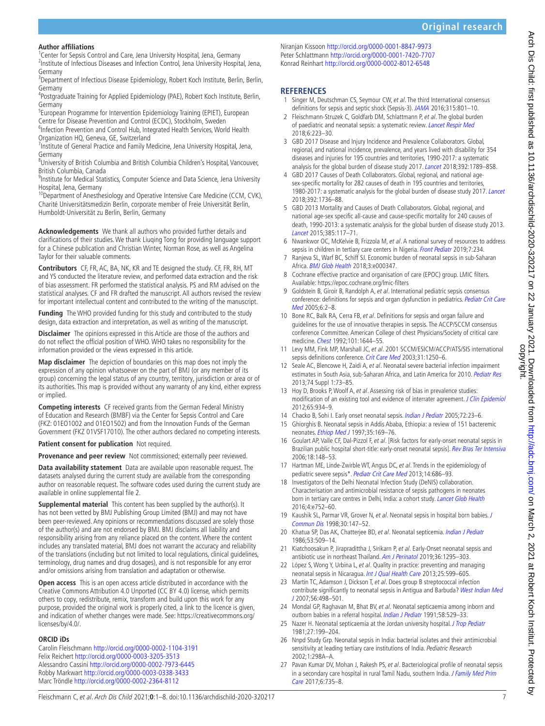#### **Author affiliations**

<sup>1</sup> Center for Sepsis Control and Care, Jena University Hospital, Jena, Germany <sup>2</sup>Institute of Infectious Diseases and Infection Control, Jena University Hospital, Jena, Germany

<sup>3</sup>Department of Infectious Disease Epidemiology, Robert Koch Institute, Berlin, Berlin, Germany

<sup>4</sup>Postgraduate Training for Applied Epidemiology (PAE), Robert Koch Institute, Berlin, Germany

<sup>5</sup>European Programme for Intervention Epidemiology Training (EPIET), European Centre for Disease Prevention and Control (ECDC), Stockholm, Sweden

<sup>6</sup>Infection Prevention and Control Hub, Integrated Health Services, World Health Organization HQ, Geneva, GE, Switzerland

<sup>7</sup> Institute of General Practice and Family Medicine, Jena University Hospital, Jena, Germany

<sup>8</sup>University of British Columbia and British Columbia Children's Hospital, Vancouver, British Columbia, Canada

<sup>9</sup>Institute for Medical Statistics, Computer Science and Data Science, Jena University Hospital, Jena, Germany

<sup>10</sup>Department of Anesthesiology and Operative Intensive Care Medicine (CCM, CVK), Charité Universitätsmedizin Berlin, corporate member of Freie Universität Berlin, Humboldt-Universität zu Berlin, Berlin, Germany

**Acknowledgements** We thank all authors who provided further details and clarifications of their studies. We thank Liuqing Tong for providing language support for a Chinese publication and Christian Winter, Norman Rose, as well as Angelina Taylor for their valuable comments.

**Contributors** CF, FR, AC, BA, NK, KR and TE designed the study. CF, FR, RH, MT and YS conducted the literature review, and performed data extraction and the risk of bias assessment. FR performed the statistical analysis. PS and RM advised on the statistical analyses. CF and FR drafted the manuscript. All authors revised the review for important intellectual content and contributed to the writing of the manuscript.

**Funding** The WHO provided funding for this study and contributed to the study design, data extraction and interpretation, as well as writing of the manuscript.

**Disclaimer** The opinions expressed in this Article are those of the authors and do not reflect the official position of WHO. WHO takes no responsibility for the information provided or the views expressed in this article.

**Map disclaimer** The depiction of boundaries on this map does not imply the expression of any opinion whatsoever on the part of BMJ (or any member of its group) concerning the legal status of any country, territory, jurisdiction or area or of its authorities. This map is provided without any warranty of any kind, either express or implied.

**Competing interests** CF received grants from the German Federal Ministry of Education and Research (BMBF) via the Center for Sepsis Control and Care (FKZ: 01EO1002 and 01EO1502) and from the Innovation Funds of the German Government (FKZ 01VSF17010). The other authors declared no competing interests.

**Patient consent for publication** Not required.

**Provenance and peer review** Not commissioned; externally peer reviewed.

**Data availability statement** Data are available upon reasonable request. The datasets analysed during the current study are available from the corresponding author on reasonable request. The software codes used during the current study are available in online supplemental file 2.

**Supplemental material** This content has been supplied by the author(s). It has not been vetted by BMJ Publishing Group Limited (BMJ) and may not have been peer-reviewed. Any opinions or recommendations discussed are solely those of the author(s) and are not endorsed by BMJ. BMJ disclaims all liability and responsibility arising from any reliance placed on the content. Where the content includes any translated material, BMJ does not warrant the accuracy and reliability of the translations (including but not limited to local regulations, clinical guidelines, terminology, drug names and drug dosages), and is not responsible for any error and/or omissions arising from translation and adaptation or otherwise.

**Open access** This is an open access article distributed in accordance with the Creative Commons Attribution 4.0 Unported (CC BY 4.0) license, which permits others to copy, redistribute, remix, transform and build upon this work for any purpose, provided the original work is properly cited, a link to the licence is given, and indication of whether changes were made. See: [https://creativecommons.org/](https://creativecommons.org/licenses/by/4.0/) [licenses/by/4.0/.](https://creativecommons.org/licenses/by/4.0/)

#### **ORCID iDs**

Carolin Fleischmann<http://orcid.org/0000-0002-1104-3191> Felix Reichert<http://orcid.org/0000-0003-3205-3513> Alessandro Cassini<http://orcid.org/0000-0002-7973-6445> Robby Markwart<http://orcid.org/0000-0003-0338-3433> Marc Tröndle<http://orcid.org/0000-0002-2364-8112>

Niranjan Kissoon <http://orcid.org/0000-0001-8847-9973> Peter Schlattmann<http://orcid.org/0000-0001-7420-7707> Konrad Reinhart<http://orcid.org/0000-0002-8012-6548>

#### **REFERENCES**

- <span id="page-6-0"></span>1 Singer M, Deutschman CS, Seymour CW, et al. The third International consensus definitions for sepsis and septic shock (Sepsis-3). [JAMA](http://dx.doi.org/10.1001/jama.2016.0287) 2016;315:801–10.
- <span id="page-6-1"></span>2 Fleischmann-Struzek C, Goldfarb DM, Schlattmann P, et al. The global burden of paediatric and neonatal sepsis: a systematic review. [Lancet Respir Med](http://dx.doi.org/10.1016/S2213-2600(18)30063-8) 2018;6:223–30.
- <span id="page-6-2"></span>3 GBD 2017 Disease and Injury Incidence and Prevalence Collaborators. Global, regional, and national incidence, prevalence, and years lived with disability for 354 diseases and injuries for 195 countries and territories, 1990-2017: a systematic analysis for the global burden of disease study 2017. [Lancet](http://dx.doi.org/10.1016/S0140-6736(18)32279-7) 2018;392:1789–858.
- <span id="page-6-3"></span>4 GBD 2017 Causes of Death Collaborators. Global, regional, and national agesex-specific mortality for 282 causes of death in 195 countries and territories, 1980-2017: a systematic analysis for the global burden of disease study 2017. [Lancet](http://dx.doi.org/10.1016/S0140-6736(18)32203-7) 2018;392:1736–88.
- <span id="page-6-4"></span>5 GBD 2013 Mortality and Causes of Death Collaborators. Global, regional, and national age-sex specific all-cause and cause-specific mortality for 240 causes of death, 1990-2013: a systematic analysis for the global burden of disease study 2013. [Lancet](http://dx.doi.org/10.1016/S0140-6736(14)61682-2) 2015;385:117–71.
- <span id="page-6-5"></span>6 Nwankwor OC, McKelvie B, Frizzola M, et al. A national survey of resources to address sepsis in children in tertiary care centers in Nigeria. [Front Pediatr](http://dx.doi.org/10.3389/fped.2019.00234) 2019;7:234.
- <span id="page-6-6"></span>7 Ranjeva SL, Warf BC, Schiff SJ. Economic burden of neonatal sepsis in sub-Saharan Africa. [BMJ Glob Health](http://dx.doi.org/10.1136/bmjgh-2017-000347) 2018;3:e000347.
- <span id="page-6-7"></span>8 Cochrane effective practice and organisation of care (EPOC) group. LMIC filters. Available:<https://epoc.cochrane.org/lmic-filters>
- <span id="page-6-8"></span>9 Goldstein B, Giroir B, Randolph A, et al. International pediatric sepsis consensus conference: definitions for sepsis and organ dysfunction in pediatrics. Pediatr Crit Care [Med](http://dx.doi.org/10.1097/01.PCC.0000149131.72248.E6) 2005;6:2–8.
- <span id="page-6-9"></span>10 Bone RC, Balk RA, Cerra FB, et al. Definitions for sepsis and organ failure and guidelines for the use of innovative therapies in sepsis. The ACCP/SCCM consensus conference Committee. American College of chest Physicians/Society of critical care medicine. [Chest](http://dx.doi.org/10.1378/chest.101.6.1644) 1992;101:1644–55.
- <span id="page-6-10"></span>11 Levy MM, Fink MP, Marshall JC, et al. 2001 SCCM/ESICM/ACCP/ATS/SIS international sepsis definitions conference. [Crit Care Med](http://dx.doi.org/10.1097/01.CCM.0000050454.01978.3B) 2003;31:1250-6.
- <span id="page-6-11"></span>12 Seale AC, Blencowe H, Zaidi A, et al. Neonatal severe bacterial infection impairment estimates in South Asia, sub-Saharan Africa, and Latin America for 2010. [Pediatr Res](http://dx.doi.org/10.1038/pr.2013.207) 2013;74 Suppl 1:73–85.
- <span id="page-6-12"></span>13 Hoy D, Brooks P, Woolf A, et al. Assessing risk of bias in prevalence studies: modification of an existing tool and evidence of interrater agreement. *[J Clin Epidemiol](http://dx.doi.org/10.1016/j.jclinepi.2011.11.014)* 2012;65:934–9.
- <span id="page-6-13"></span>14 Chacko B, Sohi I. Early onset neonatal sepsis. [Indian J Pediatr](http://dx.doi.org/10.1007/BF02760574) 2005;72:23-6.
- 15 Ghiorghis B. Neonatal sepsis in Addis Ababa, Ethiopia: a review of 151 bacteremic neonates. [Ethiop Med J](http://www.ncbi.nlm.nih.gov/pubmed/9558755) 1997;35:169-76.
- 16 Goulart AP, Valle CF, Dal-Pizzol F, et al. [Risk factors for early-onset neonatal sepsis in Brazilian public hospital short-title: early-onset neonatal sepsis]. [Rev Bras Ter Intensiva](http://www.ncbi.nlm.nih.gov/pubmed/25316638) 2006;18:148–53.
- <span id="page-6-15"></span>17 Hartman ME, Linde-Zwirble WT, Angus DC, et al. Trends in the epidemiology of pediatric severe sepsis\*. [Pediatr Crit Care Med](http://dx.doi.org/10.1097/PCC.0b013e3182917fad) 2013;14:686–93.
- <span id="page-6-14"></span>18 Investigators of the Delhi Neonatal Infection Study (DeNIS) collaboration. Characterisation and antimicrobial resistance of sepsis pathogens in neonates born in tertiary care centres in Delhi, India: a cohort study. [Lancet Glob Health](http://dx.doi.org/10.1016/S2214-109X(16)30148-6) 2016;4:e752–60.
- 19 Kaushik SL, Parmar VR, Grover N, et al. Neonatal sepsis in hospital born babies. J [Commun Dis](http://www.ncbi.nlm.nih.gov/pubmed/10093419) 1998;30:147–52.
- 20 Khatua SP, Das AK, Chatterjee BD, et al. Neonatal septicemia. [Indian J Pediatr](http://dx.doi.org/10.1007/BF02749537) 1986;53:509–14.
- 21 Kiatchoosakun P, Jirapradittha J, Sirikarn P, et al. Early-Onset neonatal sepsis and antibiotic use in northeast Thailand. [Am J Perinatol](http://dx.doi.org/10.1055/s-0038-1676829) 2019;36:1295–303.
- 22 López S, Wong Y, Urbina L, et al. Quality in practice: preventing and managing neonatal sepsis in Nicaragua. [Int J Qual Health Care](http://dx.doi.org/10.1093/intqhc/mzt060) 2013;25:599–605.
- 23 Martin TC, Adamson J, Dickson T, et al. Does group B streptococcal infection contribute significantly to neonatal sepsis in Antigua and Barbuda? [West Indian Med](http://www.ncbi.nlm.nih.gov/pubmed/18646492)  [J](http://www.ncbi.nlm.nih.gov/pubmed/18646492) 2007;56:498–501.
- 24 Mondal GP, Raghavan M, Bhat BV, et al. Neonatal septicaemia among inborn and outborn babies in a referral hospital. *[Indian J Pediatr](http://dx.doi.org/10.1007/BF02750936)* 1991:58:529-33.
- 25 Nazer H. Neonatal septicaemia at the Jordan university hospital. [J Trop Pediatr](http://dx.doi.org/10.1093/tropej/27.4.199) 1981;27:199–204.
- 26 Nnpd Study Grp. Neonatal sepsis in India: bacterial isolates and their antimicrobial sensitivity at leading tertiary care institutions of India. Pediatric Research 2002;1:298A–A.
- 27 Pavan Kumar DV, Mohan J, Rakesh PS, et al. Bacteriological profile of neonatal sepsis in a secondary care hospital in rural Tamil Nadu, southern India. J Family Med Prim [Care](http://dx.doi.org/10.4103/jfmpc.jfmpc_66_17) 2017;6:735–8.

δ